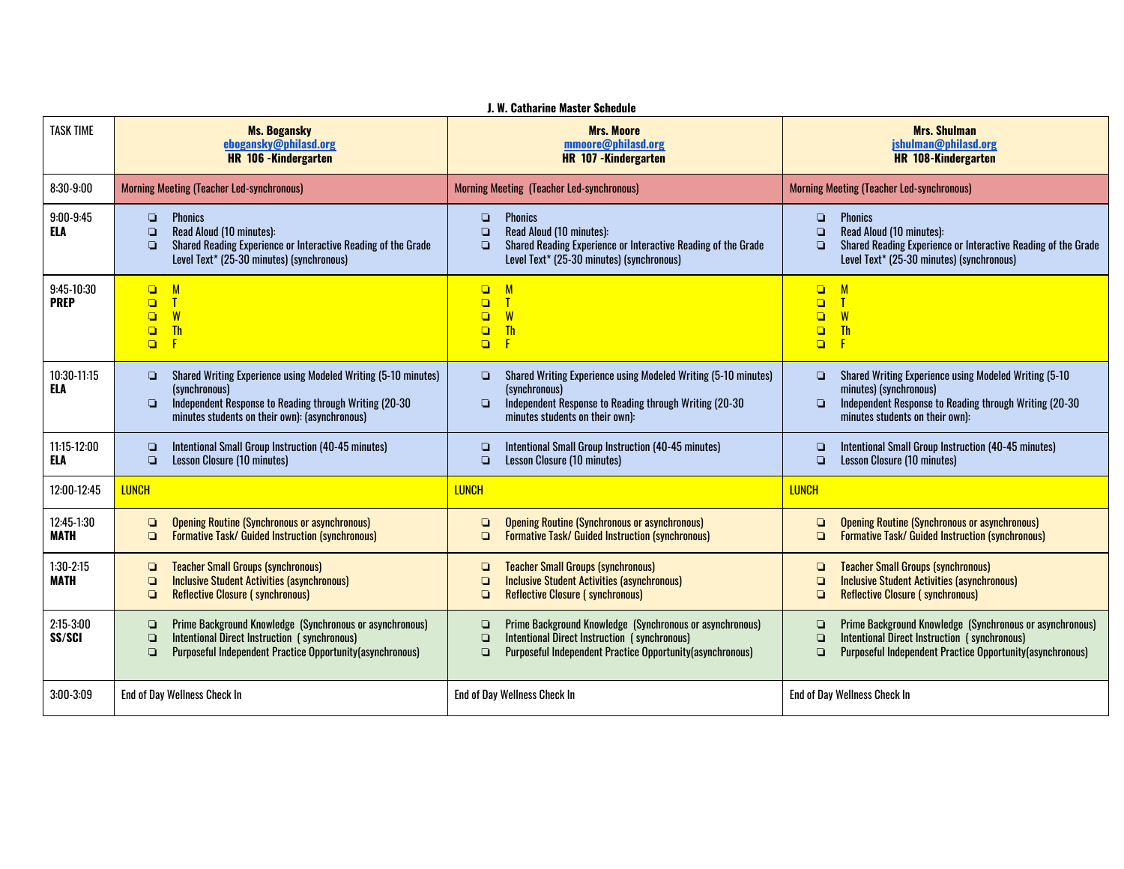|                             |                                                                                                                                                                                                                  | J. W. Catharine Master Schedule                                                                                                                                                                |                                                                                                                                                                                                     |
|-----------------------------|------------------------------------------------------------------------------------------------------------------------------------------------------------------------------------------------------------------|------------------------------------------------------------------------------------------------------------------------------------------------------------------------------------------------|-----------------------------------------------------------------------------------------------------------------------------------------------------------------------------------------------------|
| <b>TASK TIME</b>            | <b>Ms. Bogansky</b><br>ebogansky@philasd.org<br><b>HR</b> 106 - Kindergarten                                                                                                                                     | <b>Mrs. Moore</b><br>mmoore@philasd.org<br><b>HR 107 -Kindergarten</b>                                                                                                                         | <b>Mrs. Shulman</b><br>jshulman@philasd.org<br><b>HR 108-Kindergarten</b>                                                                                                                           |
| $8:30-9:00$                 | <b>Morning Meeting (Teacher Led-synchronous)</b>                                                                                                                                                                 | <b>Morning Meeting (Teacher Led-synchronous)</b>                                                                                                                                               | <b>Morning Meeting (Teacher Led-synchronous)</b>                                                                                                                                                    |
| $9:00-9:45$<br>ELA          | <b>Phonics</b><br>$\Box$<br>Read Aloud (10 minutes):<br>$\Box$<br>Shared Reading Experience or Interactive Reading of the Grade<br>$\Box$<br>Level Text* (25-30 minutes) (synchronous)                           | <b>Phonics</b><br>$\Box$<br>Read Aloud (10 minutes):<br>$\Box$<br>Shared Reading Experience or Interactive Reading of the Grade<br>$\Box$<br>Level Text* (25-30 minutes) (synchronous)         | <b>Phonics</b><br>$\Box$<br>Read Aloud (10 minutes):<br>$\Box$<br>Shared Reading Experience or Interactive Reading of the Grade<br>$\Box$<br>Level Text* (25-30 minutes) (synchronous)              |
| $9:45-10:30$<br><b>PREP</b> | M<br>$\Box$<br>Т<br>$\Box$<br>W<br>$\Box$<br><b>Th</b><br>$\Box$<br>$\Box$<br>Æ                                                                                                                                  | $\Box$<br>M<br>$\Box$<br>Т<br>W<br>$\Box$<br>$\Box$<br><b>Th</b><br>$\Box$<br>F                                                                                                                | $\Box$<br>M<br>$\mathsf{T}$<br>$\Box$<br>W<br>$\Box$<br><b>Th</b><br>$\Box$<br>$\Box$<br>F                                                                                                          |
| 10:30-11:15<br>ELA          | Shared Writing Experience using Modeled Writing (5-10 minutes)<br>$\Box$<br>(synchronous)<br>Independent Response to Reading through Writing (20-30)<br>$\Box$<br>minutes students on their own): (asynchronous) | Shared Writing Experience using Modeled Writing (5-10 minutes)<br>o.<br>(synchronous)<br>Independent Response to Reading through Writing (20-30)<br>$\Box$<br>minutes students on their own):  | Shared Writing Experience using Modeled Writing (5-10)<br>o<br>minutes) (synchronous)<br>Independent Response to Reading through Writing (20-30<br>$\Box$<br>minutes students on their own):        |
| 11:15-12:00<br>ELA          | Intentional Small Group Instruction (40-45 minutes)<br>$\Box$<br><b>Lesson Closure (10 minutes)</b><br>$\Box$                                                                                                    | Intentional Small Group Instruction (40-45 minutes)<br>❏<br><b>Lesson Closure (10 minutes)</b><br>$\Box$                                                                                       | Intentional Small Group Instruction (40-45 minutes)<br>$\Box$<br><b>Lesson Closure (10 minutes)</b><br>$\Box$                                                                                       |
| 12:00-12:45                 | <b>LUNCH</b>                                                                                                                                                                                                     | <b>LUNCH</b>                                                                                                                                                                                   | <b>LUNCH</b>                                                                                                                                                                                        |
| 12:45-1:30<br><b>MATH</b>   | <b>Opening Routine (Synchronous or asynchronous)</b><br>$\Box$<br><b>Formative Task/ Guided Instruction (synchronous)</b><br>$\Box$                                                                              | <b>Opening Routine (Synchronous or asynchronous)</b><br>o<br><b>Formative Task/ Guided Instruction (synchronous)</b><br>$\Box$                                                                 | <b>Opening Routine (Synchronous or asynchronous)</b><br>$\Box$<br><b>Formative Task/ Guided Instruction (synchronous)</b><br>$\Box$                                                                 |
| $1:30-2:15$<br><b>MATH</b>  | <b>Teacher Small Groups (synchronous)</b><br>$\Box$<br><b>Inclusive Student Activities (asynchronous)</b><br>$\Box$<br>$\Box$<br><b>Reflective Closure (synchronous)</b>                                         | <b>Teacher Small Groups (synchronous)</b><br>o<br><b>Inclusive Student Activities (asynchronous)</b><br>$\Box$<br><b>Reflective Closure (synchronous)</b><br>$\Box$                            | <b>Teacher Small Groups (synchronous)</b><br>❏<br><b>Inclusive Student Activities (asynchronous)</b><br>$\Box$<br><b>Reflective Closure (synchronous)</b><br>$\Box$                                 |
| $2:15-3:00$<br>SS/SCI       | Prime Background Knowledge (Synchronous or asynchronous)<br>$\Box$<br>Intentional Direct Instruction (synchronous)<br>$\Box$<br>Purposeful Independent Practice Opportunity(asynchronous)<br>$\Box$              | Prime Background Knowledge (Synchronous or asynchronous)<br>O<br>Intentional Direct Instruction (synchronous)<br>$\Box$<br>$\Box$<br>Purposeful Independent Practice Opportunity(asynchronous) | Prime Background Knowledge (Synchronous or asynchronous)<br>$\Box$<br>Intentional Direct Instruction (synchronous)<br>$\Box$<br>Purposeful Independent Practice Opportunity(asynchronous)<br>$\Box$ |
| $3:00-3:09$                 | End of Day Wellness Check In                                                                                                                                                                                     | <b>End of Day Wellness Check In</b>                                                                                                                                                            | <b>End of Day Wellness Check In</b>                                                                                                                                                                 |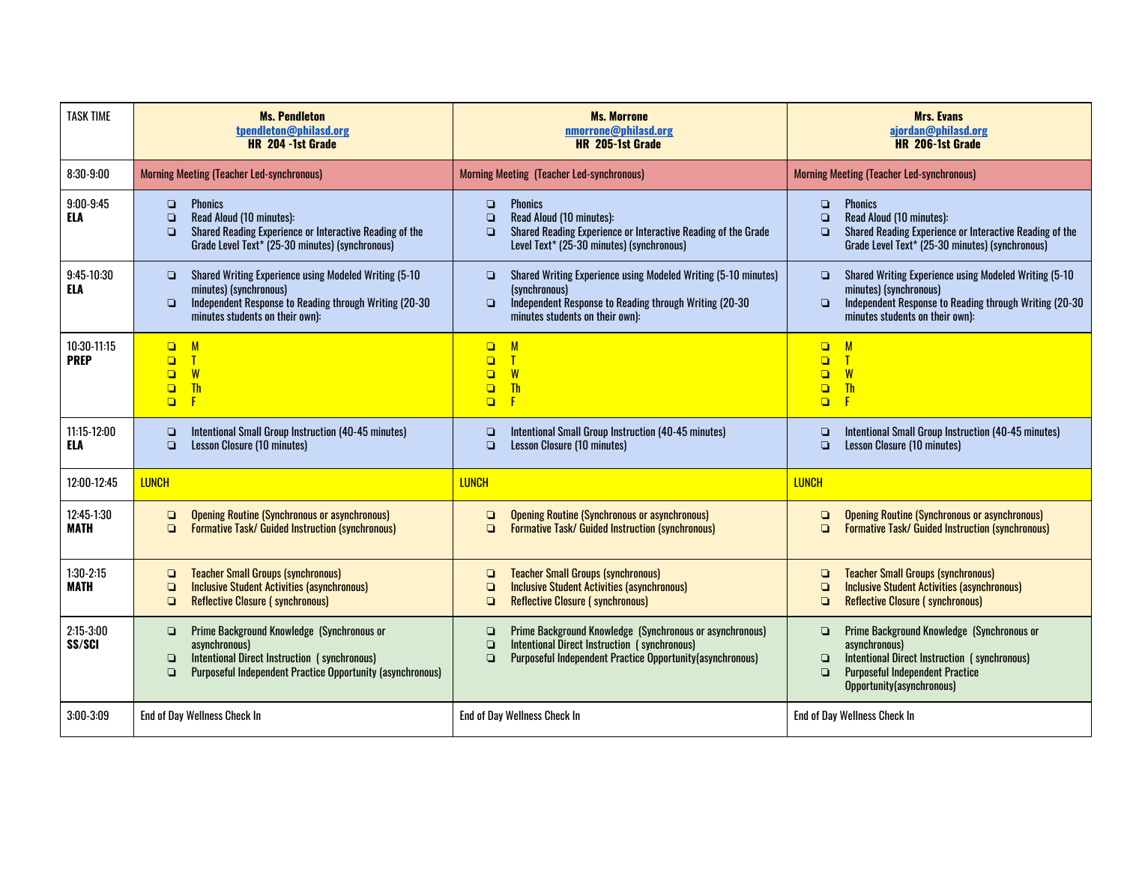| <b>TASK TIME</b>           | <b>Ms. Pendleton</b><br>tpendleton@philasd.org<br>HR 204 -1st Grade                                                                                                                                  | <b>Ms. Morrone</b><br>nmorrone@philasd.org<br>HR 205-1st Grade                                                                                                                                       | <b>Mrs. Evans</b><br>ajordan@philasd.org<br>HR 206-1st Grade                                                                                                                                                     |  |  |
|----------------------------|------------------------------------------------------------------------------------------------------------------------------------------------------------------------------------------------------|------------------------------------------------------------------------------------------------------------------------------------------------------------------------------------------------------|------------------------------------------------------------------------------------------------------------------------------------------------------------------------------------------------------------------|--|--|
| $8:30-9:00$                | <b>Morning Meeting (Teacher Led-synchronous)</b>                                                                                                                                                     | <b>Morning Meeting (Teacher Led-synchronous)</b>                                                                                                                                                     | <b>Morning Meeting (Teacher Led-synchronous)</b>                                                                                                                                                                 |  |  |
| $9:00-9:45$<br><b>ELA</b>  | <b>Phonics</b><br>$\Box$<br>Read Aloud (10 minutes):<br>$\Box$<br>Shared Reading Experience or Interactive Reading of the<br>$\Box$<br>Grade Level Text* (25-30 minutes) (synchronous)               | <b>Phonics</b><br>$\Box$<br>Read Aloud (10 minutes):<br>$\Box$<br>Shared Reading Experience or Interactive Reading of the Grade<br>$\Box$<br>Level Text* (25-30 minutes) (synchronous)               | <b>Phonics</b><br>$\Box$<br>Read Aloud (10 minutes):<br>$\Box$<br>Shared Reading Experience or Interactive Reading of the<br>$\Box$<br>Grade Level Text* (25-30 minutes) (synchronous)                           |  |  |
| 9:45-10:30<br><b>ELA</b>   | Shared Writing Experience using Modeled Writing (5-10)<br>o<br>minutes) (synchronous)<br>Independent Response to Reading through Writing (20-30<br>o<br>minutes students on their own):              | Shared Writing Experience using Modeled Writing (5-10 minutes)<br>$\Box$<br>(synchronous)<br>Independent Response to Reading through Writing (20-30)<br>$\Box$<br>minutes students on their own):    | Shared Writing Experience using Modeled Writing (5-10<br>$\Box$<br>minutes) (synchronous)<br>Independent Response to Reading through Writing (20-30)<br>$\Box$<br>minutes students on their own):                |  |  |
| 10:30-11:15<br><b>PREP</b> | M<br>$\Box$<br>$\Box$<br>$\mathbf{T}$<br>W<br>$\Box$<br><b>Th</b><br>$\Box$<br>$\Box$                                                                                                                | M<br>$\Box$<br>$\Box$<br>W<br>$\Box$<br><b>Th</b><br>$\Box$<br>$\Box$                                                                                                                                | M<br>$\Box$<br>$\mathsf{T}$<br>$\Box$<br>W<br>$\Box$<br><b>Th</b><br>$\Box$<br>$\Box$<br>F                                                                                                                       |  |  |
| 11:15-12:00<br>ELA         | Intentional Small Group Instruction (40-45 minutes)<br>$\Box$<br>Lesson Closure (10 minutes)<br>$\Box$                                                                                               | Intentional Small Group Instruction (40-45 minutes)<br>$\Box$<br>Lesson Closure (10 minutes)<br>$\Box$                                                                                               | Intentional Small Group Instruction (40-45 minutes)<br>$\Box$<br><b>Lesson Closure (10 minutes)</b><br>$\Box$                                                                                                    |  |  |
| 12:00-12:45                | <b>LUNCH</b>                                                                                                                                                                                         | <b>LUNCH</b>                                                                                                                                                                                         | <b>LUNCH</b>                                                                                                                                                                                                     |  |  |
| 12:45-1:30<br><b>MATH</b>  | <b>Opening Routine (Synchronous or asynchronous)</b><br>o<br><b>Formative Task/ Guided Instruction (synchronous)</b><br>$\Box$                                                                       | <b>Opening Routine (Synchronous or asynchronous)</b><br>$\Box$<br><b>Formative Task/ Guided Instruction (synchronous)</b><br>$\Box$                                                                  | <b>Opening Routine (Synchronous or asynchronous)</b><br>$\Box$<br><b>Formative Task/ Guided Instruction (synchronous)</b><br>$\Box$                                                                              |  |  |
| $1:30-2:15$<br><b>MATH</b> | <b>Teacher Small Groups (synchronous)</b><br>o<br><b>Inclusive Student Activities (asynchronous)</b><br>$\Box$<br><b>Reflective Closure (synchronous)</b><br>Q                                       | <b>Teacher Small Groups (synchronous)</b><br>$\Box$<br><b>Inclusive Student Activities (asynchronous)</b><br>$\Box$<br><b>Reflective Closure (synchronous)</b><br>$\Box$                             | <b>Teacher Small Groups (synchronous)</b><br>$\Box$<br><b>Inclusive Student Activities (asynchronous)</b><br>$\Box$<br><b>Reflective Closure (synchronous)</b><br>$\Box$                                         |  |  |
| $2:15 - 3:00$<br>SS/SCI    | Prime Background Knowledge (Synchronous or<br>o<br>asynchronous)<br>Intentional Direct Instruction (synchronous)<br>o<br><b>Purposeful Independent Practice Opportunity (asynchronous)</b><br>$\Box$ | Prime Background Knowledge (Synchronous or asynchronous)<br>$\Box$<br>Intentional Direct Instruction (synchronous)<br>$\Box$<br>Purposeful Independent Practice Opportunity (asynchronous)<br>$\Box$ | Prime Background Knowledge (Synchronous or<br>$\Box$<br>asynchronous)<br>Intentional Direct Instruction (synchronous)<br>$\Box$<br><b>Purposeful Independent Practice</b><br>$\Box$<br>Opportunity(asynchronous) |  |  |
| $3:00-3:09$                | End of Day Wellness Check In                                                                                                                                                                         | End of Day Wellness Check In                                                                                                                                                                         | End of Day Wellness Check In                                                                                                                                                                                     |  |  |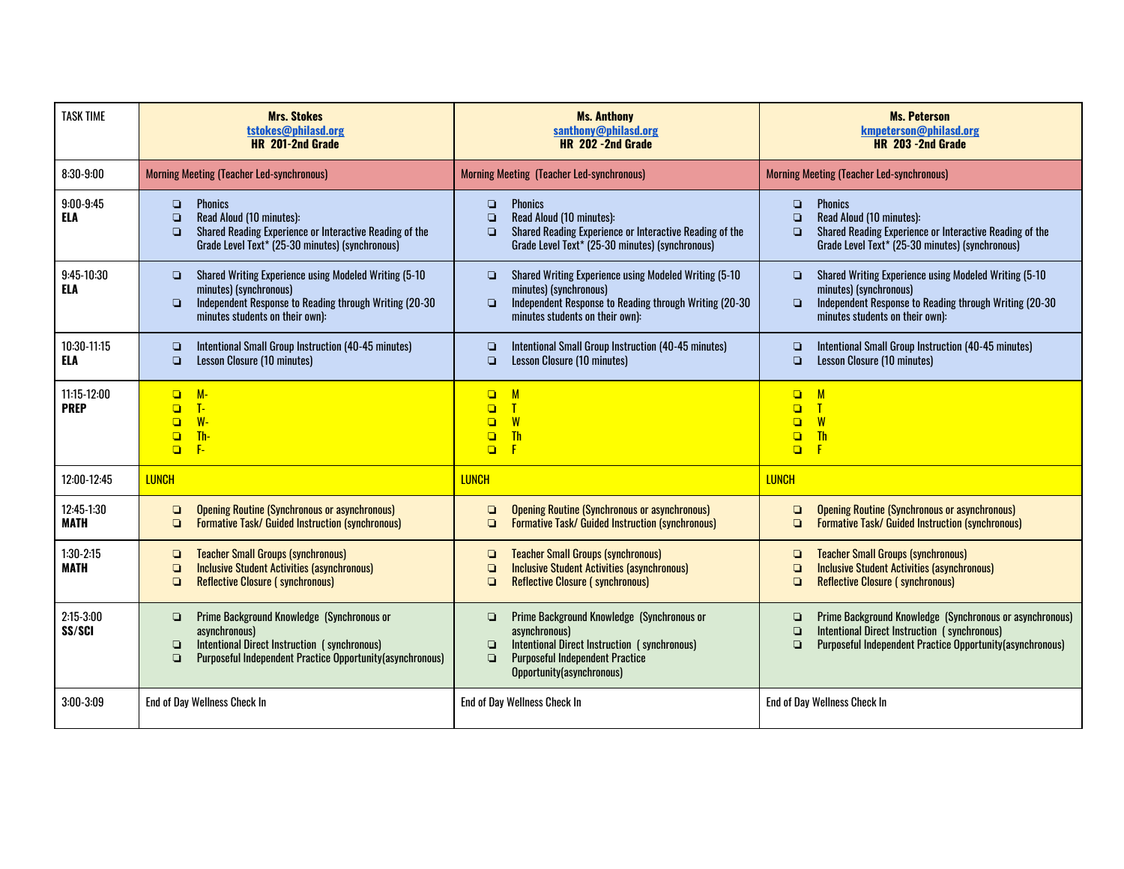| <b>TASK TIME</b>           | <b>Mrs. Stokes</b><br>tstokes@philasd.org<br>HR 201-2nd Grade                                                                                                                                                  | <b>Ms. Anthony</b><br>santhony@philasd.org<br>HR 202 -2nd Grade                                                                                                                                                  | <b>Ms. Peterson</b><br>kmpeterson@philasd.org<br>HR 203 - 2nd Grade                                                                                                                                                |  |  |
|----------------------------|----------------------------------------------------------------------------------------------------------------------------------------------------------------------------------------------------------------|------------------------------------------------------------------------------------------------------------------------------------------------------------------------------------------------------------------|--------------------------------------------------------------------------------------------------------------------------------------------------------------------------------------------------------------------|--|--|
| $8:30-9:00$                | <b>Morning Meeting (Teacher Led-synchronous)</b>                                                                                                                                                               | <b>Morning Meeting (Teacher Led-synchronous)</b>                                                                                                                                                                 | <b>Morning Meeting (Teacher Led-synchronous)</b>                                                                                                                                                                   |  |  |
| $9:00 - 9:45$<br>ELA       | <b>Phonics</b><br>$\Box$<br>Read Aloud (10 minutes):<br>$\Box$<br>Shared Reading Experience or Interactive Reading of the<br>$\Box$<br>Grade Level Text* (25-30 minutes) (synchronous)                         | <b>Phonics</b><br>$\Box$<br>Read Aloud (10 minutes):<br>$\Box$<br>Shared Reading Experience or Interactive Reading of the<br>$\Box$<br>Grade Level Text* (25-30 minutes) (synchronous)                           | <b>Phonics</b><br>$\Box$<br>Read Aloud (10 minutes):<br>$\Box$<br>Shared Reading Experience or Interactive Reading of the<br>$\Box$<br>Grade Level Text* (25-30 minutes) (synchronous)                             |  |  |
| 9:45-10:30<br><b>ELA</b>   | Shared Writing Experience using Modeled Writing (5-10)<br>$\Box$<br>minutes) (synchronous)<br>Independent Response to Reading through Writing (20-30)<br>$\Box$<br>minutes students on their own):             | Shared Writing Experience using Modeled Writing (5-10<br>$\Box$<br>minutes) (synchronous)<br>Independent Response to Reading through Writing (20-30)<br>$\Box$<br>minutes students on their own):                | Shared Writing Experience using Modeled Writing (5-10)<br>$\Box$<br>minutes) (synchronous)<br>Independent Response to Reading through Writing (20-30<br>$\Box$<br>minutes students on their own):                  |  |  |
| 10:30-11:15<br>ELA         | Intentional Small Group Instruction (40-45 minutes)<br>$\Box$<br>Lesson Closure (10 minutes)<br>$\Box$                                                                                                         | Intentional Small Group Instruction (40-45 minutes)<br>$\Box$<br><b>Lesson Closure (10 minutes)</b><br>$\Box$                                                                                                    | Intentional Small Group Instruction (40-45 minutes)<br>$\Box$<br>Lesson Closure (10 minutes)<br>$\Box$                                                                                                             |  |  |
| 11:15-12:00<br><b>PREP</b> | $M -$<br>$\Box$<br>T-<br>$\Box$<br>$W -$<br>$\Box$<br>Th-<br>$\Box$<br>$F -$<br>$\Box$                                                                                                                         | $\Box$<br>M<br>$\Box$<br>W<br>$\Box$<br><b>Th</b><br>$\Box$<br>$\Box$<br>F                                                                                                                                       | M<br>$\Box$<br>$\Box$<br>W<br>$\Box$<br><b>Th</b><br>$\Box$<br>$\Box$<br>$\mathsf F$                                                                                                                               |  |  |
| 12:00-12:45                | <b>LUNCH</b>                                                                                                                                                                                                   | <b>LUNCH</b>                                                                                                                                                                                                     | <b>LUNCH</b>                                                                                                                                                                                                       |  |  |
| 12:45-1:30<br><b>MATH</b>  | <b>Opening Routine (Synchronous or asynchronous)</b><br>$\Box$<br><b>Formative Task/ Guided Instruction (synchronous)</b><br>$\Box$                                                                            | <b>Opening Routine (Synchronous or asynchronous)</b><br>$\Box$<br>$\Box$<br><b>Formative Task/ Guided Instruction (synchronous)</b>                                                                              | <b>Opening Routine (Synchronous or asynchronous)</b><br>$\Box$<br><b>Formative Task/ Guided Instruction (synchronous)</b><br>$\Box$                                                                                |  |  |
| $1:30-2:15$<br><b>MATH</b> | <b>Teacher Small Groups (synchronous)</b><br>$\Box$<br><b>Inclusive Student Activities (asynchronous)</b><br>$\Box$<br><b>Reflective Closure (synchronous)</b><br>$\Box$                                       | <b>Teacher Small Groups (synchronous)</b><br>$\Box$<br><b>Inclusive Student Activities (asynchronous)</b><br>$\Box$<br><b>Reflective Closure (synchronous)</b><br>$\Box$                                         | <b>Teacher Small Groups (synchronous)</b><br>❏<br><b>Inclusive Student Activities (asynchronous)</b><br>$\Box$<br><b>Reflective Closure (synchronous)</b><br>$\Box$                                                |  |  |
| $2:15-3:00$<br>SS/SCI      | Prime Background Knowledge (Synchronous or<br>$\Box$<br>asynchronous)<br>Intentional Direct Instruction (synchronous)<br>$\Box$<br><b>Purposeful Independent Practice Opportunity (asynchronous)</b><br>$\Box$ | Prime Background Knowledge (Synchronous or<br>$\Box$<br>asynchronous)<br>Intentional Direct Instruction (synchronous)<br>$\Box$<br><b>Purposeful Independent Practice</b><br>$\Box$<br>Opportunity(asynchronous) | Prime Background Knowledge (Synchronous or asynchronous)<br>$\Box$<br><b>Intentional Direct Instruction (synchronous)</b><br>$\Box$<br><b>Purposeful Independent Practice Opportunity (asynchronous)</b><br>$\Box$ |  |  |
| 3:00-3:09                  | <b>End of Day Wellness Check In</b>                                                                                                                                                                            | <b>End of Day Wellness Check In</b>                                                                                                                                                                              | <b>End of Day Wellness Check In</b>                                                                                                                                                                                |  |  |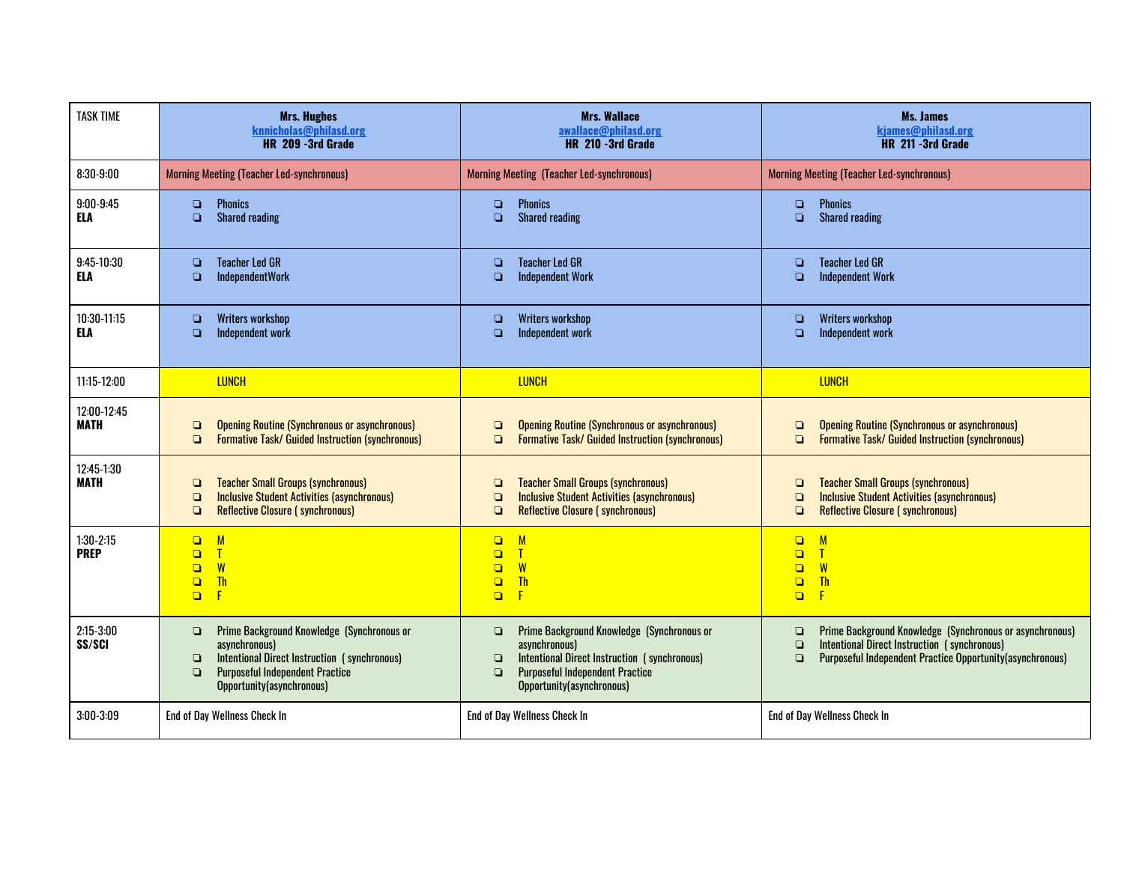| <b>TASK TIME</b>           | <b>Mrs. Hughes</b><br>knnicholas@philasd.org<br>HR 209 -3rd Grade                                                                                                                                                | <b>Mrs. Wallace</b><br>awallace@philasd.org<br>HR 210 -3rd Grade                                                                                                                                                 | Ms. James<br>kjames@philasd.org<br>HR 211 -3rd Grade                                                                                                                                                |  |  |
|----------------------------|------------------------------------------------------------------------------------------------------------------------------------------------------------------------------------------------------------------|------------------------------------------------------------------------------------------------------------------------------------------------------------------------------------------------------------------|-----------------------------------------------------------------------------------------------------------------------------------------------------------------------------------------------------|--|--|
| $8:30-9:00$                | <b>Morning Meeting (Teacher Led-synchronous)</b>                                                                                                                                                                 | <b>Morning Meeting (Teacher Led-synchronous)</b>                                                                                                                                                                 | <b>Morning Meeting (Teacher Led-synchronous)</b>                                                                                                                                                    |  |  |
| $9:00-9:45$<br><b>ELA</b>  | <b>Phonics</b><br>Q<br><b>Shared reading</b><br>$\Box$                                                                                                                                                           | <b>Phonics</b><br>$\Box$<br>$\Box$<br><b>Shared reading</b>                                                                                                                                                      | <b>Phonics</b><br>$\Box$<br>$\Box$<br><b>Shared reading</b>                                                                                                                                         |  |  |
| 9:45-10:30<br><b>ELA</b>   | <b>Teacher Led GR</b><br>$\Box$<br><b>IndependentWork</b><br>$\Box$                                                                                                                                              | <b>Teacher Led GR</b><br>$\Box$<br><b>Independent Work</b><br>$\Box$                                                                                                                                             | <b>Teacher Led GR</b><br>$\Box$<br><b>Independent Work</b><br>$\Box$                                                                                                                                |  |  |
| 10:30-11:15<br><b>ELA</b>  | Writers workshop<br>$\Box$<br>Independent work<br>$\Box$                                                                                                                                                         | <b>Writers workshop</b><br>$\Box$<br>Independent work<br>$\Box$                                                                                                                                                  | <b>Writers workshop</b><br>$\Box$<br>Independent work<br>$\Box$                                                                                                                                     |  |  |
| 11:15-12:00                | <b>LUNCH</b>                                                                                                                                                                                                     | <b>LUNCH</b>                                                                                                                                                                                                     | <b>LUNCH</b>                                                                                                                                                                                        |  |  |
| 12:00-12:45<br><b>MATH</b> | <b>Opening Routine (Synchronous or asynchronous)</b><br>$\Box$<br><b>Formative Task/ Guided Instruction (synchronous)</b><br>$\Box$                                                                              | <b>Opening Routine (Synchronous or asynchronous)</b><br>$\Box$<br><b>Formative Task/ Guided Instruction (synchronous)</b><br>$\Box$                                                                              | <b>Opening Routine (Synchronous or asynchronous)</b><br>$\Box$<br><b>Formative Task/ Guided Instruction (synchronous)</b><br>$\Box$                                                                 |  |  |
| 12:45-1:30<br><b>MATH</b>  | <b>Teacher Small Groups (synchronous)</b><br>$\Box$<br><b>Inclusive Student Activities (asynchronous)</b><br>$\Box$<br><b>Reflective Closure (synchronous)</b><br>$\Box$                                         | <b>Teacher Small Groups (synchronous)</b><br>$\Box$<br><b>Inclusive Student Activities (asynchronous)</b><br>$\Box$<br><b>Reflective Closure (synchronous)</b><br>$\Box$                                         | <b>Teacher Small Groups (synchronous)</b><br>$\Box$<br><b>Inclusive Student Activities (asynchronous)</b><br>$\Box$<br><b>Reflective Closure (synchronous)</b><br>$\Box$                            |  |  |
| $1:30-2:15$<br><b>PREP</b> | M<br>$\Box$<br>$\mathbf{T}$<br>$\Box$<br>W<br>$\Box$<br><b>Th</b><br>$\Box$<br>F<br>$\Box$                                                                                                                       | M<br>$\Box$<br>$\mathbf{T}$<br>$\Box$<br>W<br>$\Box$<br><b>Th</b><br>$\Box$<br>$\Box$<br>F                                                                                                                       | $\Box$<br>M<br>$\Box$<br>$\mathsf{T}$<br>W<br>$\Box$<br><b>Th</b><br>$\Box$<br>$\mathsf{F}$<br>$\Box$                                                                                               |  |  |
| $2:15-3:00$<br>SS/SCI      | Prime Background Knowledge (Synchronous or<br>$\Box$<br>asynchronous)<br>Intentional Direct Instruction (synchronous)<br>$\Box$<br><b>Purposeful Independent Practice</b><br>$\Box$<br>Opportunity(asynchronous) | Prime Background Knowledge (Synchronous or<br>$\Box$<br>asynchronous)<br>Intentional Direct Instruction (synchronous)<br>$\Box$<br><b>Purposeful Independent Practice</b><br>$\Box$<br>Opportunity(asynchronous) | Prime Background Knowledge (Synchronous or asynchronous)<br>$\Box$<br>Intentional Direct Instruction (synchronous)<br>$\Box$<br>Purposeful Independent Practice Opportunity(asynchronous)<br>$\Box$ |  |  |
| 3:00-3:09                  | End of Day Wellness Check In                                                                                                                                                                                     | End of Day Wellness Check In                                                                                                                                                                                     | <b>End of Day Wellness Check In</b>                                                                                                                                                                 |  |  |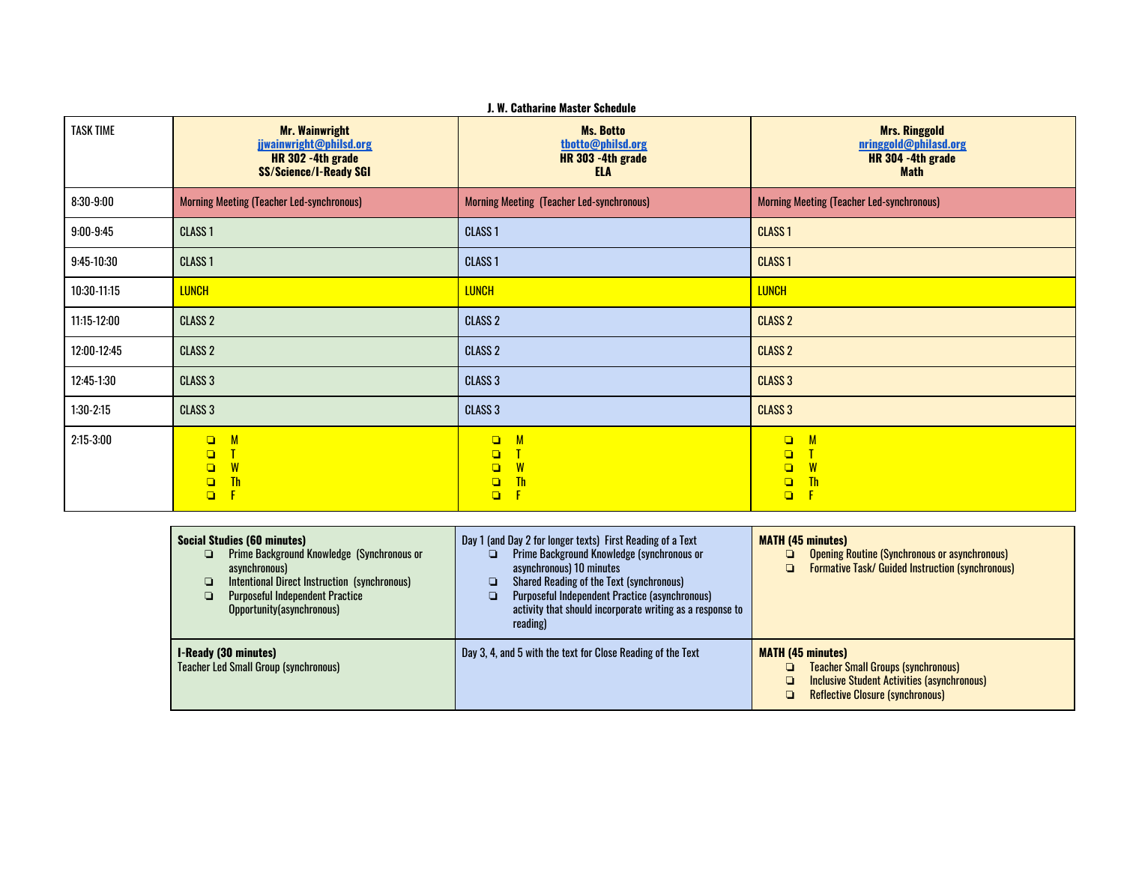| <b>TASK TIME</b> | <b>Mr. Wainwright</b><br>jjwainwright@philsd.org<br>HR 302 -4th grade<br><b>SS/Science/I-Ready SGI</b> | <b>Ms. Botto</b><br>thotto@philsd.org<br>HR 303 -4th grade<br><b>ELA</b> |                                                                                                    |  |  |
|------------------|--------------------------------------------------------------------------------------------------------|--------------------------------------------------------------------------|----------------------------------------------------------------------------------------------------|--|--|
| $8:30-9:00$      | <b>Morning Meeting (Teacher Led-synchronous)</b>                                                       | <b>Morning Meeting (Teacher Led-synchronous)</b>                         | <b>Morning Meeting (Teacher Led-synchronous)</b>                                                   |  |  |
| $9:00-9:45$      | CLASS <sub>1</sub>                                                                                     | <b>CLASS 1</b>                                                           | <b>CLASS 1</b>                                                                                     |  |  |
| $9:45-10:30$     | CLASS <sub>1</sub>                                                                                     | <b>CLASS 1</b>                                                           | <b>CLASS1</b>                                                                                      |  |  |
| 10:30-11:15      | <b>LUNCH</b>                                                                                           | <b>LUNCH</b>                                                             | <b>LUNCH</b>                                                                                       |  |  |
| 11:15-12:00      | <b>CLASS 2</b>                                                                                         | <b>CLASS 2</b>                                                           | <b>CLASS 2</b>                                                                                     |  |  |
| 12:00-12:45      | <b>CLASS 2</b>                                                                                         | <b>CLASS 2</b>                                                           | <b>CLASS 2</b>                                                                                     |  |  |
| 12:45-1:30       | CLASS <sub>3</sub>                                                                                     | <b>CLASS 3</b>                                                           | <b>CLASS 3</b>                                                                                     |  |  |
| $1:30-2:15$      | CLASS <sub>3</sub>                                                                                     | <b>CLASS 3</b>                                                           | <b>CLASS 3</b>                                                                                     |  |  |
| $2:15-3:00$      | $\mathsf{M}$<br>$\Box$<br>$\Box$<br>W<br>$\Box$<br><b>Th</b><br>$\Box$<br>$\Box$                       | M<br>$\Box$<br>$\Box$<br>W<br>$\Box$<br><b>Th</b><br>$\Box$<br>$\Box$    | $\mathsf{M}$<br>$\Box$<br>$\Box$<br>W<br>$\Box$<br><b>Th</b><br>$\Box$<br>$\overline{F}$<br>$\Box$ |  |  |

| <b>Social Studies (60 minutes)</b><br><b>Prime Background Knowledge (Synchronous or</b><br>Q<br>asynchronous)<br>Intentional Direct Instruction (synchronous)<br><b>Purposeful Independent Practice</b><br>Opportunity(asynchronous) | Day 1 (and Day 2 for longer texts) First Reading of a Text<br>Prime Background Knowledge (synchronous or<br>asynchronous) 10 minutes<br><b>Shared Reading of the Text (synchronous)</b><br>Purposeful Independent Practice (asynchronous)<br>activity that should incorporate writing as a response to<br>reading) | <b>MATH (45 minutes)</b><br><b>Opening Routine (Synchronous or asynchronous)</b><br>❏<br><b>Formative Task/ Guided Instruction (synchronous)</b><br>Q.                           |
|--------------------------------------------------------------------------------------------------------------------------------------------------------------------------------------------------------------------------------------|--------------------------------------------------------------------------------------------------------------------------------------------------------------------------------------------------------------------------------------------------------------------------------------------------------------------|----------------------------------------------------------------------------------------------------------------------------------------------------------------------------------|
| <b>I-Ready (30 minutes)</b><br><b>Teacher Led Small Group (synchronous)</b>                                                                                                                                                          | Day 3, 4, and 5 with the text for Close Reading of the Text                                                                                                                                                                                                                                                        | <b>MATH (45 minutes)</b><br><b>Teacher Small Groups (synchronous)</b><br>o<br><b>Inclusive Student Activities (asynchronous)</b><br><b>Reflective Closure (synchronous)</b><br>o |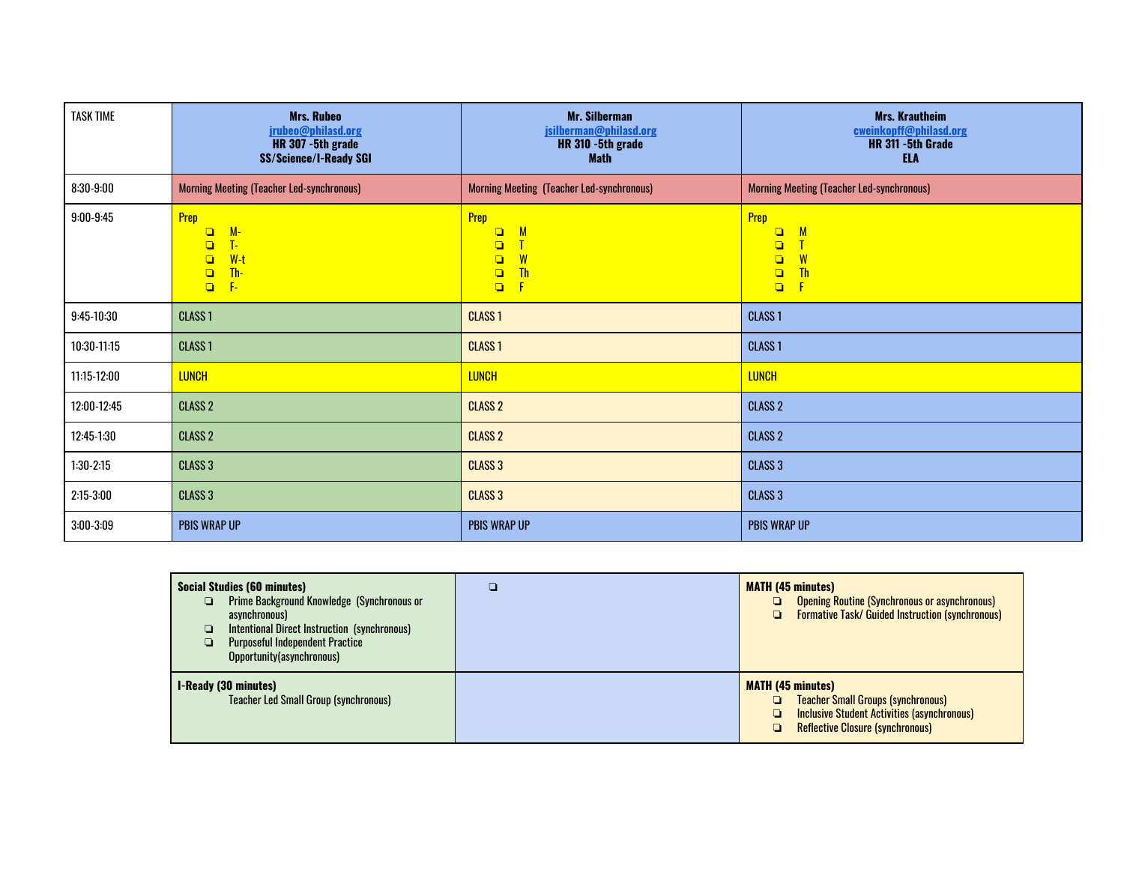| <b>TASK TIME</b> | <b>Mrs. Rubeo</b><br>jrubeo@philasd.org<br>HR 307 -5th grade<br><b>SS/Science/I-Ready SGI</b>  | <b>Mr. Silberman</b><br>jsilberman@philasd.org<br>HR 310 -5th grade<br><b>Math</b>            | <b>Mrs. Krautheim</b><br>cweinkopff@philasd.org<br>HR 311 - 5th Grade<br><b>ELA</b>     |
|------------------|------------------------------------------------------------------------------------------------|-----------------------------------------------------------------------------------------------|-----------------------------------------------------------------------------------------|
| $8:30-9:00$      | <b>Morning Meeting (Teacher Led-synchronous)</b>                                               | Morning Meeting (Teacher Led-synchronous)                                                     | <b>Morning Meeting (Teacher Led-synchronous)</b>                                        |
| $9:00 - 9:45$    | Prep<br>$M -$<br>$\Box$<br>T-<br>$\Box$<br>$W-t$<br>$\Box$<br>Th-<br>$\Box$<br>$F -$<br>$\Box$ | Prep<br>$\Box$<br>$\mathsf{M}$<br>$\Box$<br>$\Box$<br>W<br><b>Th</b><br>$\Box$<br>F<br>$\Box$ | Prep<br>M<br>$\Box$<br>Ī<br>$\Box$<br>W<br>$\Box$<br><b>Th</b><br>$\Box$<br>F<br>$\Box$ |
| $9:45-10:30$     | <b>CLASS 1</b>                                                                                 | <b>CLASS1</b>                                                                                 | <b>CLASS1</b>                                                                           |
| 10:30-11:15      | <b>CLASS 1</b>                                                                                 | <b>CLASS 1</b>                                                                                | <b>CLASS 1</b>                                                                          |
| 11:15-12:00      | <b>LUNCH</b>                                                                                   | <b>LUNCH</b>                                                                                  | <b>LUNCH</b>                                                                            |
| 12:00-12:45      | <b>CLASS 2</b>                                                                                 | <b>CLASS 2</b>                                                                                | <b>CLASS 2</b>                                                                          |
| 12:45-1:30       | <b>CLASS 2</b>                                                                                 | <b>CLASS 2</b>                                                                                | <b>CLASS 2</b>                                                                          |
| $1:30-2:15$      | <b>CLASS 3</b>                                                                                 | <b>CLASS 3</b>                                                                                | <b>CLASS 3</b>                                                                          |
| $2:15-3:00$      | <b>CLASS 3</b>                                                                                 | <b>CLASS 3</b>                                                                                | <b>CLASS 3</b>                                                                          |
| $3:00-3:09$      | <b>PBIS WRAP UP</b>                                                                            | <b>PBIS WRAP UP</b>                                                                           | <b>PBIS WRAP UP</b>                                                                     |

| <b>Social Studies (60 minutes)</b><br><b>Prime Background Knowledge (Synchronous or</b><br>❏<br>asynchronous)<br>Intentional Direct Instruction (synchronous)<br><b>Purposeful Independent Practice</b><br>Opportunity(asynchronous) | □ | <b>MATH (45 minutes)</b><br><b>Opening Routine (Synchronous or asynchronous)</b><br>o<br><b>Formative Task/ Guided Instruction (synchronous)</b><br>o                            |
|--------------------------------------------------------------------------------------------------------------------------------------------------------------------------------------------------------------------------------------|---|----------------------------------------------------------------------------------------------------------------------------------------------------------------------------------|
| <b>I-Ready (30 minutes)</b><br><b>Teacher Led Small Group (synchronous)</b>                                                                                                                                                          |   | <b>MATH (45 minutes)</b><br><b>Teacher Small Groups (synchronous)</b><br>o<br><b>Inclusive Student Activities (asynchronous)</b><br>o<br><b>Reflective Closure (synchronous)</b> |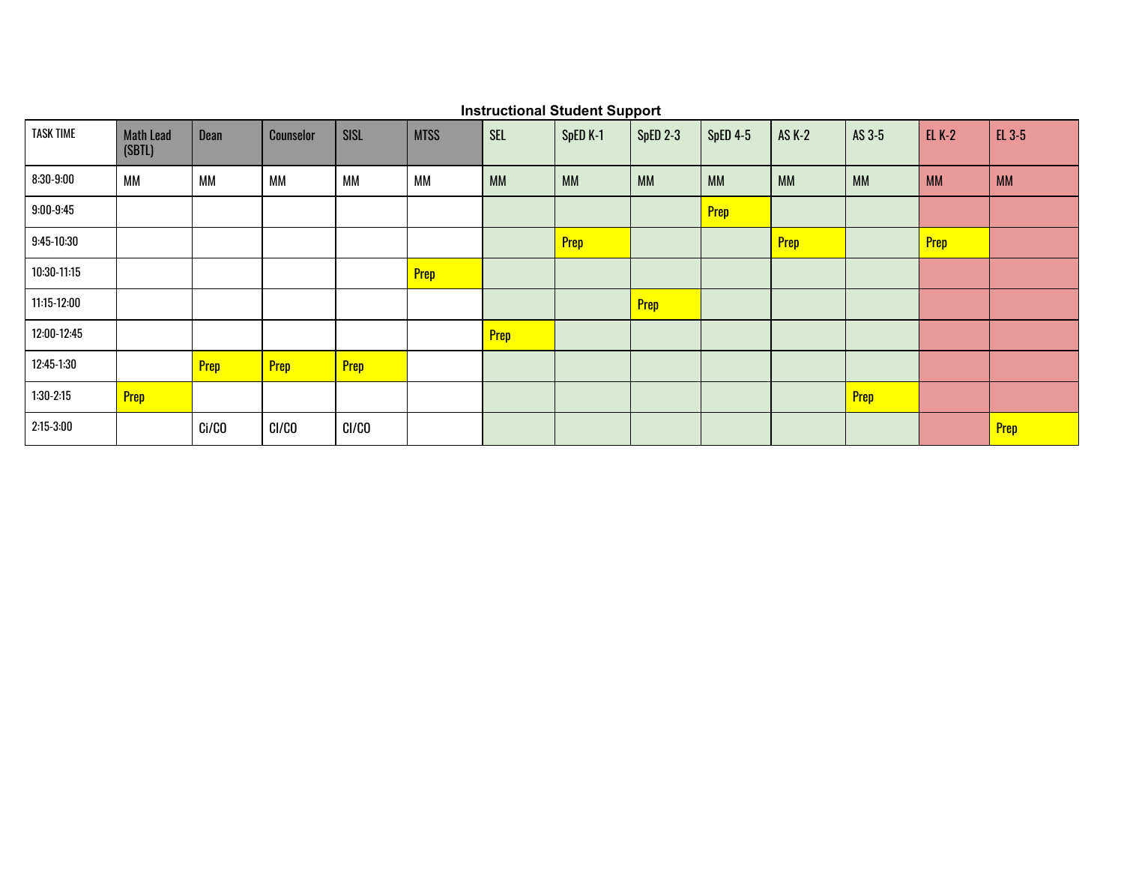| <b>TASK TIME</b> | <b>Math Lead</b><br>(SBTL) | Dean      | Counselor | <b>SISL</b> | <b>MTSS</b> | <b>SEL</b>  | SpED K-1    | SpED 2-3    | <b>SpED 4-5</b> | AS K-2      | AS 3-5      | <b>EL K-2</b> | EL 3-5      |
|------------------|----------------------------|-----------|-----------|-------------|-------------|-------------|-------------|-------------|-----------------|-------------|-------------|---------------|-------------|
| $8:30 - 9:00$    | <b>MM</b>                  | <b>MM</b> | <b>MM</b> | <b>MM</b>   | <b>MM</b>   | <b>MM</b>   | <b>MM</b>   | <b>MM</b>   | <b>MM</b>       | <b>MM</b>   | <b>MM</b>   | <b>MM</b>     | <b>MM</b>   |
| $9:00 - 9:45$    |                            |           |           |             |             |             |             |             | <b>Prep</b>     |             |             |               |             |
| $9:45-10:30$     |                            |           |           |             |             |             | <b>Prep</b> |             |                 | <b>Prep</b> |             | <b>Prep</b>   |             |
| 10:30-11:15      |                            |           |           |             | <b>Prep</b> |             |             |             |                 |             |             |               |             |
| 11:15-12:00      |                            |           |           |             |             |             |             | <b>Prep</b> |                 |             |             |               |             |
| 12:00-12:45      |                            |           |           |             |             | <b>Prep</b> |             |             |                 |             |             |               |             |
| 12:45-1:30       |                            | Prep      | Prep      | Prep        |             |             |             |             |                 |             |             |               |             |
| $1:30-2:15$      | <b>Prep</b>                |           |           |             |             |             |             |             |                 |             | <b>Prep</b> |               |             |
| $2:15-3:00$      |                            | Ci/CO     | CI/CO     | CI/CO       |             |             |             |             |                 |             |             |               | <b>Prep</b> |

## **Instructional Student Support**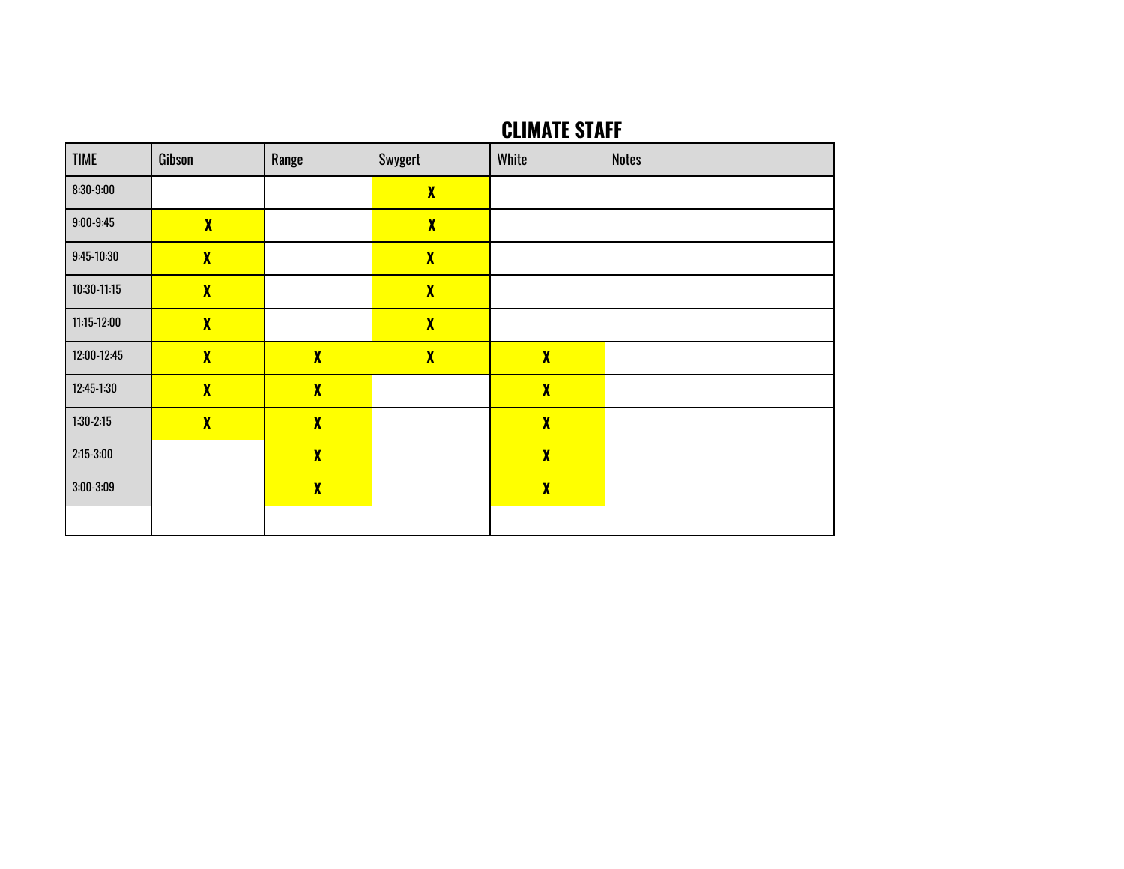# **CLIMATE STAFF**

| <b>TIME</b>   | Gibson              | Range               | Swygert      | White               | <b>Notes</b> |
|---------------|---------------------|---------------------|--------------|---------------------|--------------|
| $8:30-9:00$   |                     |                     | $\mathbf{X}$ |                     |              |
| $9:00 - 9:45$ | $\mathbf{X}$        |                     | $\mathbf{X}$ |                     |              |
| $9:45-10:30$  | $\mathbf{X}$        |                     | $\mathbf{X}$ |                     |              |
| 10:30-11:15   | $\boldsymbol{\chi}$ |                     | $\mathbf{X}$ |                     |              |
| 11:15-12:00   | $\mathbf{X}$        |                     | $\mathbf{X}$ |                     |              |
| 12:00-12:45   | $\boldsymbol{\chi}$ | $\boldsymbol{\chi}$ | $\mathbf{X}$ | $\boldsymbol{\chi}$ |              |
| 12:45-1:30    | $\mathbf{X}$        | $\mathbf{X}$        |              | $\mathbf{X}$        |              |
| $1:30-2:15$   | $\mathbf{X}$        | $\mathbf{X}$        |              | $\mathbf{X}$        |              |
| $2:15-3:00$   |                     | $\boldsymbol{\chi}$ |              | $\boldsymbol{\chi}$ |              |
| $3:00 - 3:09$ |                     | $\mathbf{X}$        |              | $\boldsymbol{\chi}$ |              |
|               |                     |                     |              |                     |              |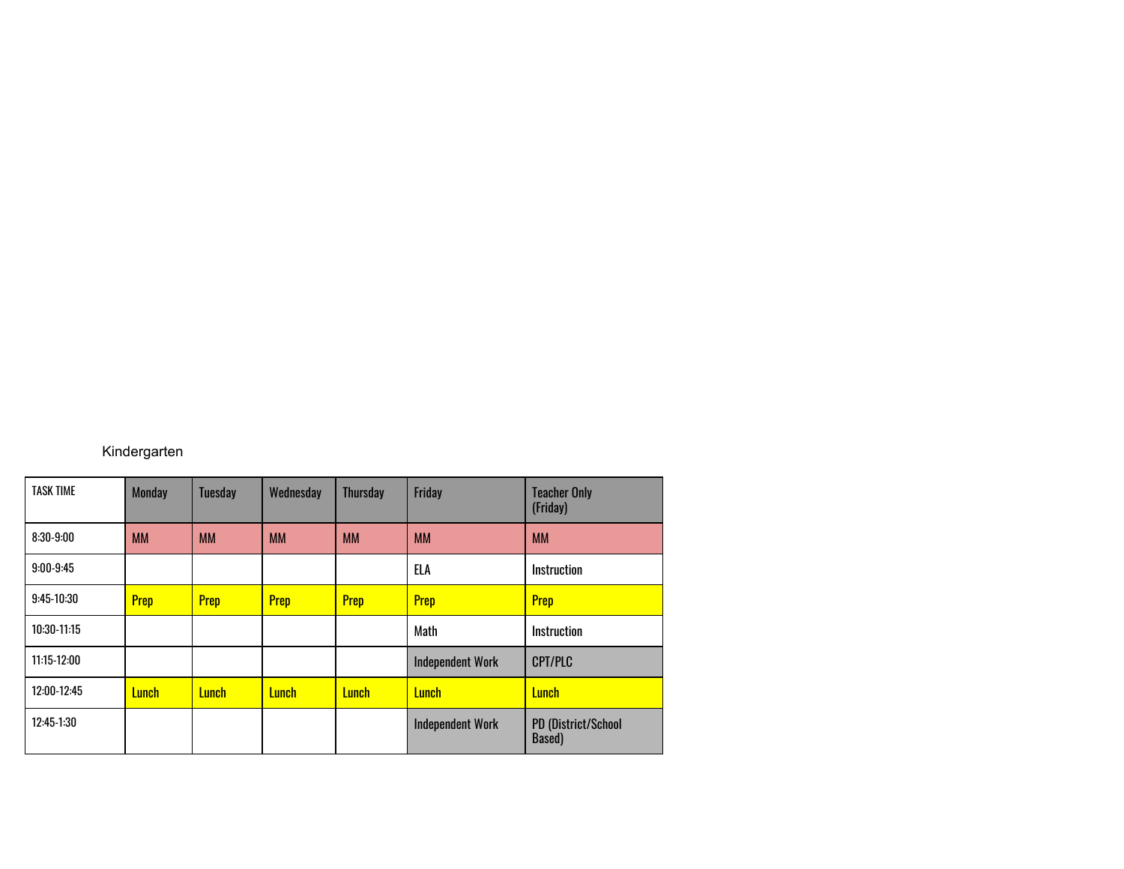## Kindergarten

| <b>TASK TIME</b> | <b>Monday</b> | <b>Tuesday</b> | Wednesday    | <b>Thursday</b> | Friday                  | <b>Teacher Only</b><br>(Friday)      |
|------------------|---------------|----------------|--------------|-----------------|-------------------------|--------------------------------------|
| $8:30-9:00$      | <b>MM</b>     | <b>MM</b>      | <b>MM</b>    | <b>MM</b>       | <b>MM</b>               | <b>MM</b>                            |
| $9:00-9:45$      |               |                |              |                 | ELA                     | Instruction                          |
| $9:45-10:30$     | Prep          | <b>Prep</b>    | <b>Prep</b>  | Prep            | <b>Prep</b>             | Prep                                 |
| 10:30-11:15      |               |                |              |                 | Math                    | Instruction                          |
| $11:15-12:00$    |               |                |              |                 | <b>Independent Work</b> | <b>CPT/PLC</b>                       |
| 12:00-12:45      | <b>Lunch</b>  | <b>Lunch</b>   | <b>Lunch</b> | <b>Lunch</b>    | <b>Lunch</b>            | <b>Lunch</b>                         |
| $12:45-1:30$     |               |                |              |                 | <b>Independent Work</b> | <b>PD (District/School</b><br>Based) |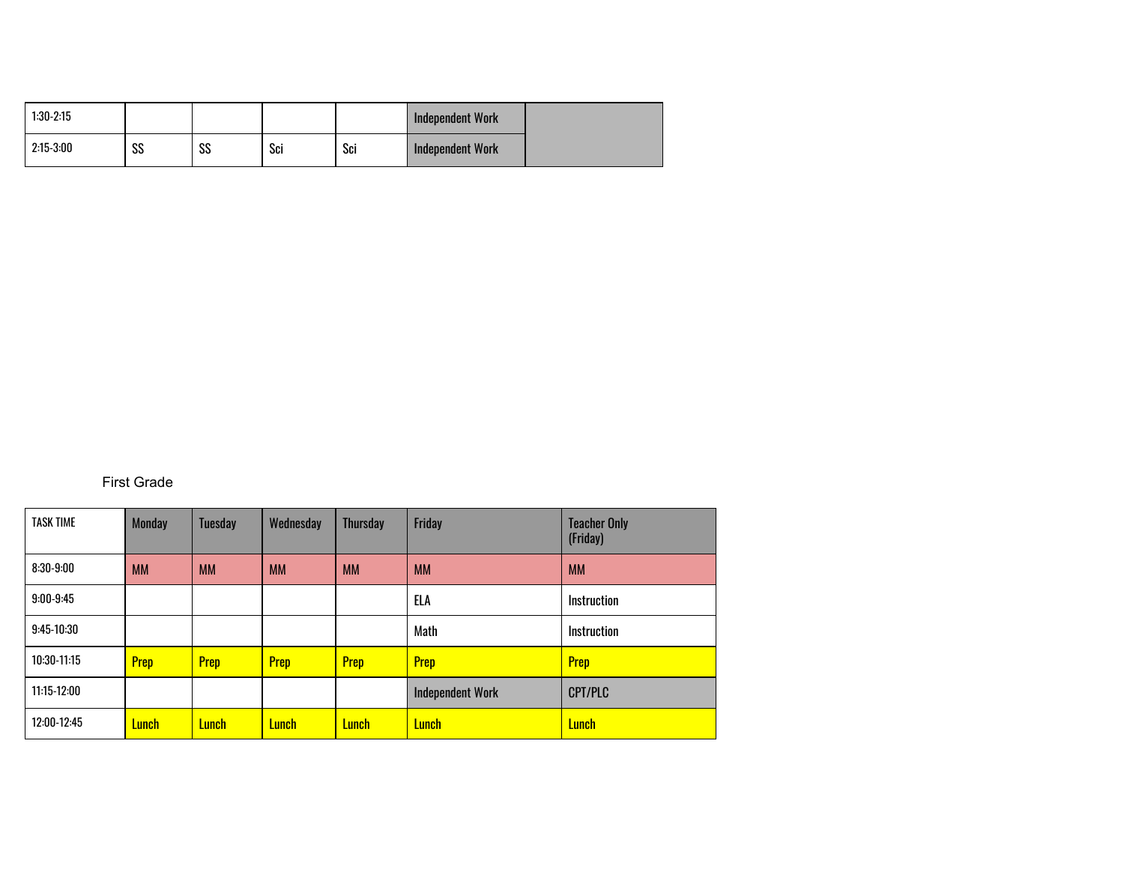| $1:30-2:15$ |          |                   |     |     | <b>Independent Work</b> |  |
|-------------|----------|-------------------|-----|-----|-------------------------|--|
| $2:15-3:00$ | 00<br>აა | <b>CC</b><br>- აა | Sci | Sci | Independent Work        |  |

## First Grade

| <b>TASK TIME</b> | <b>Monday</b> | <b>Tuesday</b> | Wednesday    | <b>Thursday</b> | Friday                  | <b>Teacher Only</b><br>(Friday) |
|------------------|---------------|----------------|--------------|-----------------|-------------------------|---------------------------------|
| $8:30-9:00$      | <b>MM</b>     | <b>MM</b>      | <b>MM</b>    | <b>MM</b>       | <b>MM</b>               | <b>MM</b>                       |
| $9:00-9:45$      |               |                |              |                 | ELA                     | <b>Instruction</b>              |
| $9:45-10:30$     |               |                |              |                 | Math                    | Instruction                     |
| $10:30-11:15$    | <b>Prep</b>   | <b>Prep</b>    | Prep         | <b>Prep</b>     | Prep                    | Prep                            |
| 11:15-12:00      |               |                |              |                 | <b>Independent Work</b> | <b>CPT/PLC</b>                  |
| 12:00-12:45      | <b>Lunch</b>  | <b>Lunch</b>   | <b>Lunch</b> | <b>Lunch</b>    | <b>Lunch</b>            | <b>Lunch</b>                    |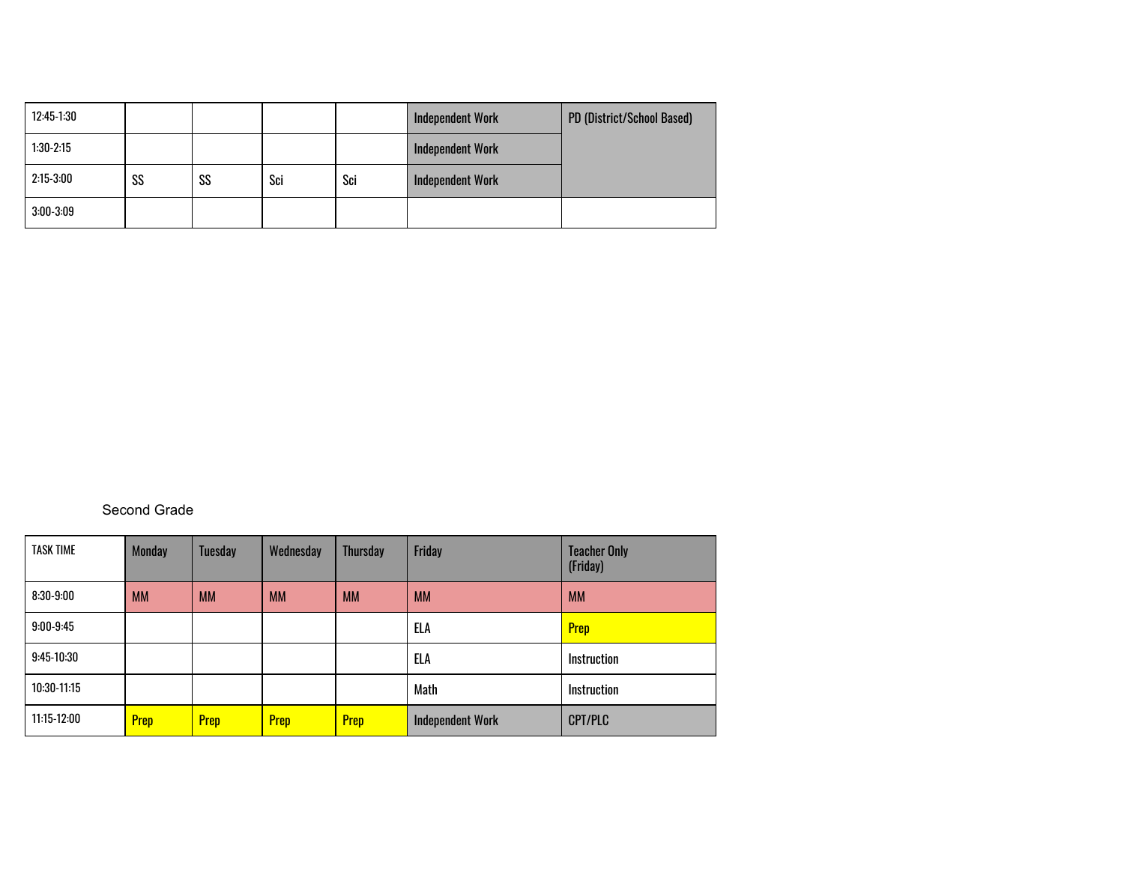| 12:45-1:30  |    |    |     |     | <b>Independent Work</b> | PD (District/School Based) |
|-------------|----|----|-----|-----|-------------------------|----------------------------|
| $1:30-2:15$ |    |    |     |     | <b>Independent Work</b> |                            |
| $2:15-3:00$ | SS | SS | Sci | Sci | <b>Independent Work</b> |                            |
| $3:00-3:09$ |    |    |     |     |                         |                            |

#### Second Grade

| <b>TASK TIME</b> | <b>Monday</b> | <b>Tuesday</b> | Wednesday   | <b>Thursday</b> | Friday                  | <b>Teacher Only</b><br>(Friday) |
|------------------|---------------|----------------|-------------|-----------------|-------------------------|---------------------------------|
| $8:30-9:00$      | <b>MM</b>     | <b>MM</b>      | <b>MM</b>   | <b>MM</b>       | <b>MM</b>               | <b>MM</b>                       |
| $9:00-9:45$      |               |                |             |                 | ELA                     | <b>Prep</b>                     |
| $9:45-10:30$     |               |                |             |                 | ELA                     | Instruction                     |
| $10:30-11:15$    |               |                |             |                 | Math                    | <b>Instruction</b>              |
| $11:15-12:00$    | <b>Prep</b>   | Prep           | <b>Prep</b> | Prep            | <b>Independent Work</b> | CPT/PLC                         |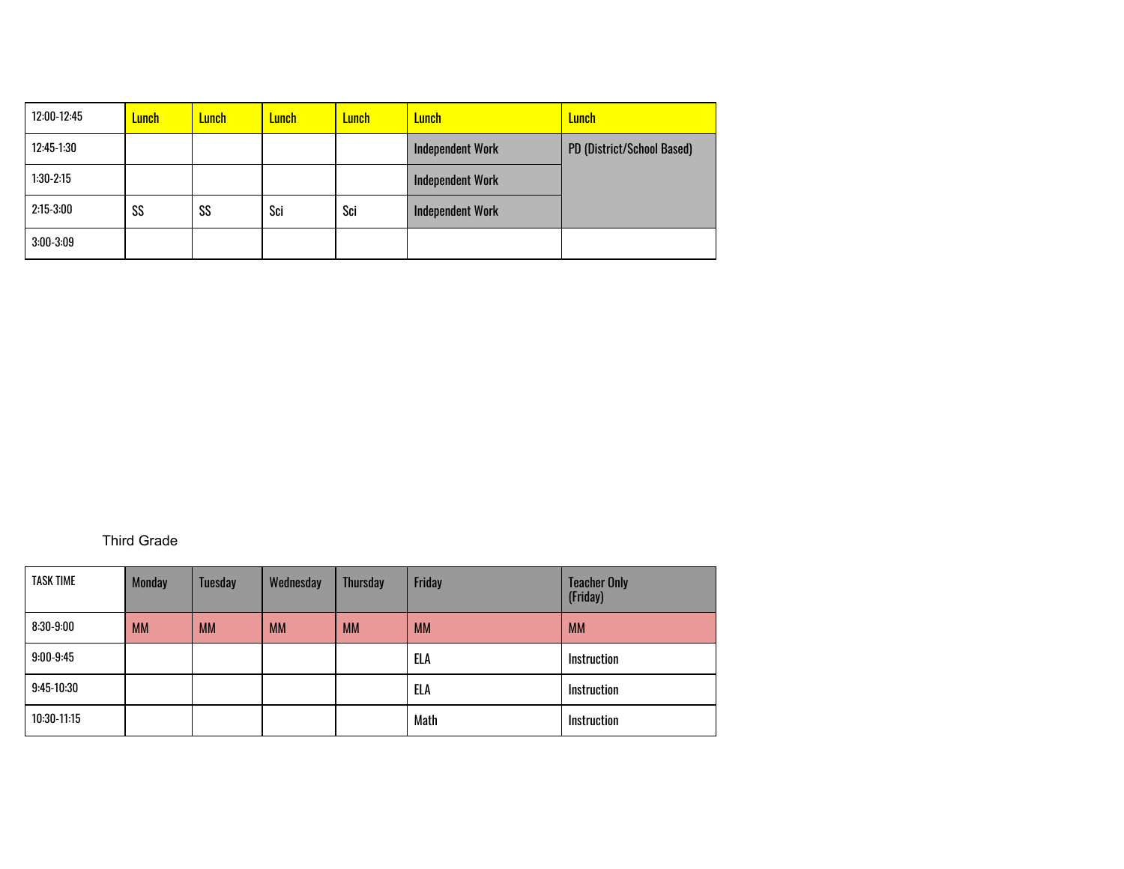| 12:00-12:45  | Lunch | Lunch: | <mark>Lunch</mark> | Lunch I | <b>Lunch</b>            | <b>Lunch</b>               |
|--------------|-------|--------|--------------------|---------|-------------------------|----------------------------|
| $12:45-1:30$ |       |        |                    |         | <b>Independent Work</b> | PD (District/School Based) |
| $1:30-2:15$  |       |        |                    |         | <b>Independent Work</b> |                            |
| $2:15-3:00$  | SS    | SS     | Sci                | Sci     | <b>Independent Work</b> |                            |
| $3:00-3:09$  |       |        |                    |         |                         |                            |

## Third Grade

| <b>TASK TIME</b> | <b>Monday</b> | <b>Tuesday</b> | Wednesday | <b>Thursday</b> | Friday    | <b>Teacher Only</b><br>(Friday) |
|------------------|---------------|----------------|-----------|-----------------|-----------|---------------------------------|
| $8:30-9:00$      | <b>MM</b>     | <b>MM</b>      | <b>MM</b> | <b>MM</b>       | <b>MM</b> | <b>MM</b>                       |
| $9:00-9:45$      |               |                |           |                 | ELA       | Instruction                     |
| $9:45-10:30$     |               |                |           |                 | ELA       | Instruction                     |
| $10:30-11:15$    |               |                |           |                 | Math      | Instruction                     |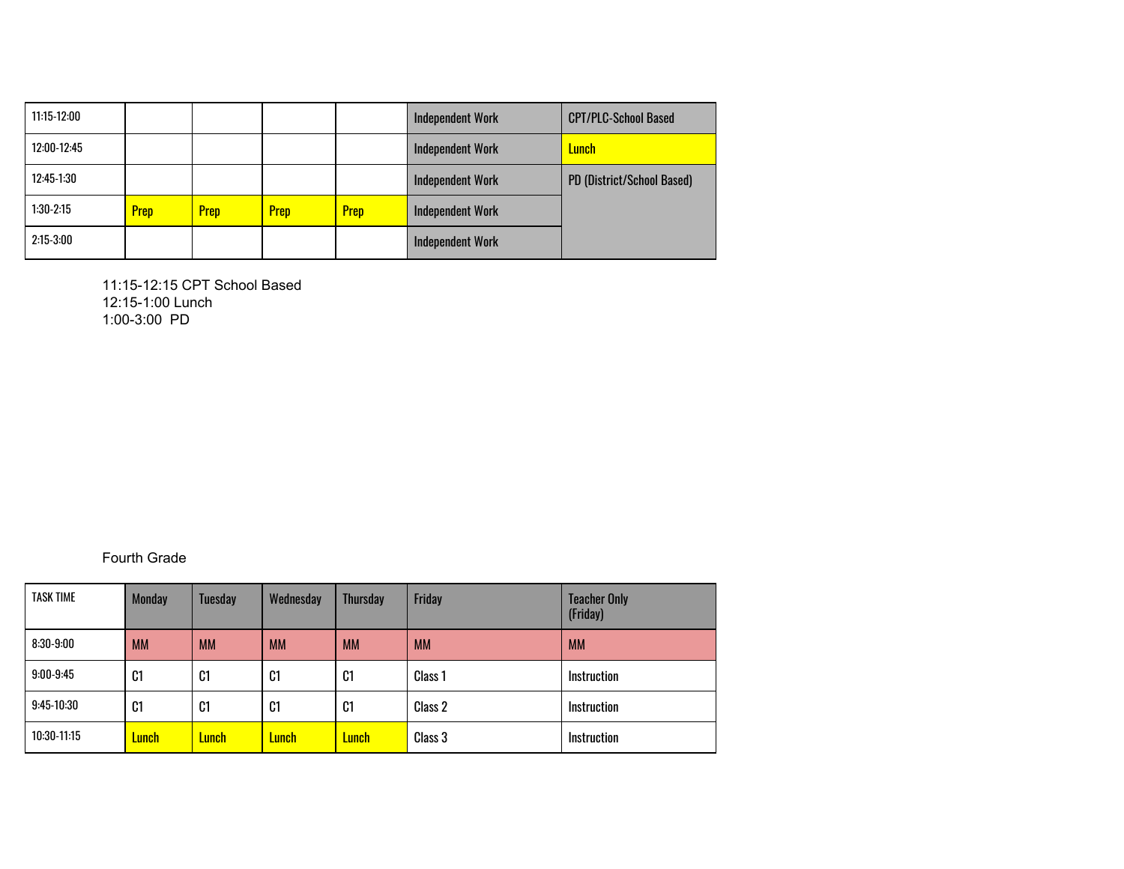| 11:15-12:00 |             |             |             |      | <b>Independent Work</b> | <b>CPT/PLC-School Based</b> |
|-------------|-------------|-------------|-------------|------|-------------------------|-----------------------------|
| 12:00-12:45 |             |             |             |      | <b>Independent Work</b> | <b>Lunch</b>                |
| 12:45-1:30  |             |             |             |      | <b>Independent Work</b> | PD (District/School Based)  |
| $1:30-2:15$ | <b>Prep</b> | <b>Prep</b> | <b>Prep</b> | Prep | <b>Independent Work</b> |                             |
| $2:15-3:00$ |             |             |             |      | <b>Independent Work</b> |                             |

11:15-12:15 CPT School Based 12:15-1:00 Lunch 1:00-3:00 PD

Fourth Grade

| <b>TASK TIME</b> | <b>Monday</b>  | <b>Tuesday</b> | Wednesday      | <b>Thursday</b> | Friday             | <b>Teacher Only</b><br>(Friday) |
|------------------|----------------|----------------|----------------|-----------------|--------------------|---------------------------------|
| $8:30-9:00$      | <b>MM</b>      | <b>MM</b>      | <b>MM</b>      | <b>MM</b>       | <b>MM</b>          | <b>MM</b>                       |
| $9:00 - 9:45$    | C1             | C <sub>1</sub> | C <sub>1</sub> | C <sub>1</sub>  | Class <sub>1</sub> | <b>Instruction</b>              |
| $9:45-10:30$     | C <sub>1</sub> | C1             | C <sub>1</sub> | C1              | Class 2            | <b>Instruction</b>              |
| $10:30-11:15$    | <b>Lunch</b>   | Lunch          | Lunch I        | Lunch           | Class 3            | <b>Instruction</b>              |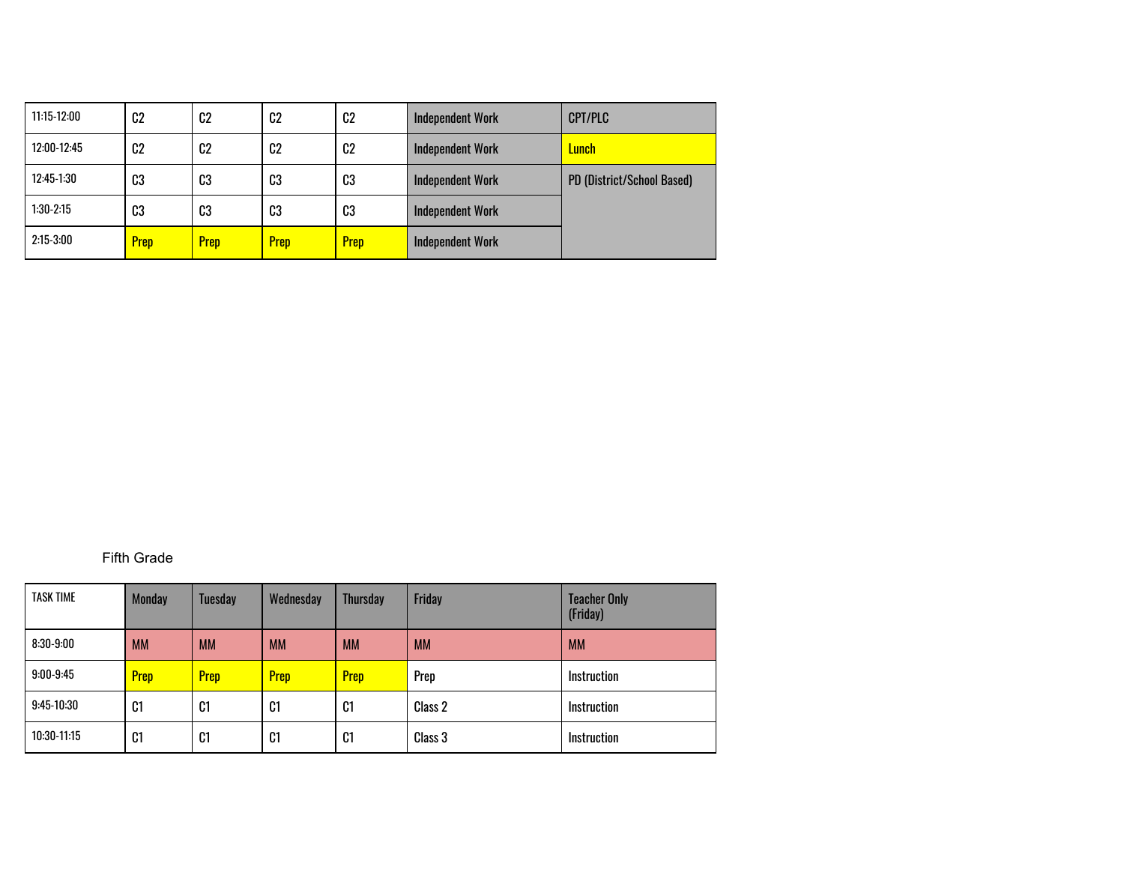| $11:15-12:00$ | C <sub>2</sub> | C <sub>2</sub> | C <sub>2</sub> | C <sub>2</sub> | <b>Independent Work</b> | <b>CPT/PLC</b>             |
|---------------|----------------|----------------|----------------|----------------|-------------------------|----------------------------|
| 12:00-12:45   | C2             | C <sub>2</sub> | C <sub>2</sub> | C <sub>2</sub> | <b>Independent Work</b> | <b>Lunch</b>               |
| $12:45-1:30$  | C3             | C3             | C3             | C3             | <b>Independent Work</b> | PD (District/School Based) |
| $1:30-2:15$   | C3             | C3             | C3             | C3             | <b>Independent Work</b> |                            |
| $2:15-3:00$   | <b>Prep</b>    | <b>Prep</b>    | <b>Prep</b>    | <b>Prep</b>    | <b>Independent Work</b> |                            |

#### Fifth Grade

| <b>TASK TIME</b> | <b>Monday</b>  | <b>Tuesday</b> | Wednesday      | <b>Thursday</b> | Friday    | <b>Teacher Only</b><br>(Friday) |
|------------------|----------------|----------------|----------------|-----------------|-----------|---------------------------------|
| $8:30-9:00$      | <b>MM</b>      | <b>MM</b>      | <b>MM</b>      | <b>MM</b>       | <b>MM</b> | <b>MM</b>                       |
| $9:00 - 9:45$    | Prep           | <b>Prep</b>    | <b>Prep</b>    | Prep            | Prep      | <b>Instruction</b>              |
| $9:45-10:30$     | C <sub>1</sub> | C1             | C <sub>1</sub> | C <sub>1</sub>  | Class 2   | <b>Instruction</b>              |
| $10:30-11:15$    | C <sub>1</sub> | C <sub>1</sub> | C <sub>1</sub> | C1              | Class 3   | <b>Instruction</b>              |